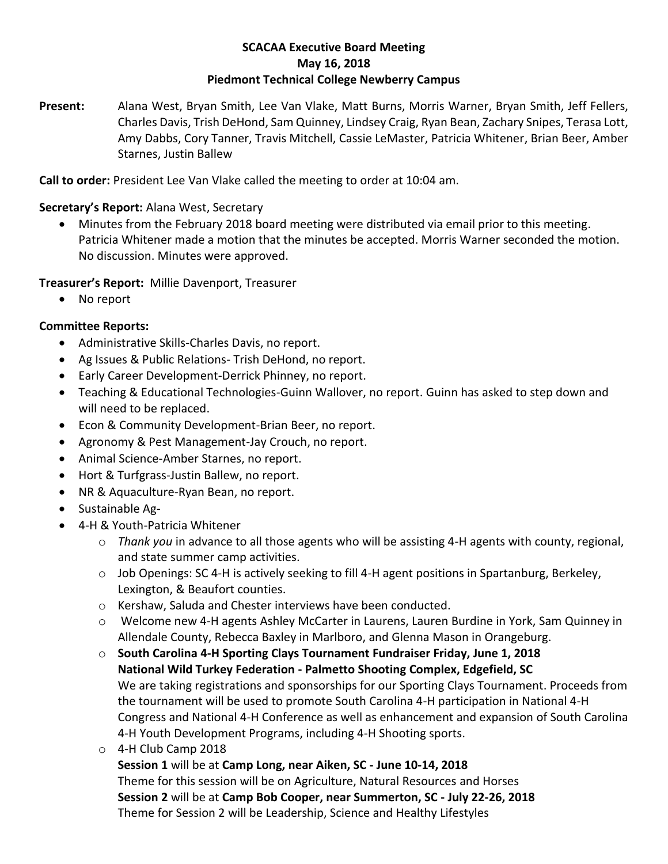# **SCACAA Executive Board Meeting May 16, 2018 Piedmont Technical College Newberry Campus**

**Present:** Alana West, Bryan Smith, Lee Van Vlake, Matt Burns, Morris Warner, Bryan Smith, Jeff Fellers, Charles Davis, Trish DeHond, Sam Quinney, Lindsey Craig, Ryan Bean, Zachary Snipes, Terasa Lott, Amy Dabbs, Cory Tanner, Travis Mitchell, Cassie LeMaster, Patricia Whitener, Brian Beer, Amber Starnes, Justin Ballew

**Call to order:** President Lee Van Vlake called the meeting to order at 10:04 am.

# **Secretary's Report:** Alana West, Secretary

• Minutes from the February 2018 board meeting were distributed via email prior to this meeting. Patricia Whitener made a motion that the minutes be accepted. Morris Warner seconded the motion. No discussion. Minutes were approved.

# **Treasurer's Report:** Millie Davenport, Treasurer

• No report

# **Committee Reports:**

- Administrative Skills-Charles Davis, no report.
- Ag Issues & Public Relations- Trish DeHond, no report.
- Early Career Development-Derrick Phinney, no report.
- Teaching & Educational Technologies-Guinn Wallover, no report. Guinn has asked to step down and will need to be replaced.
- Econ & Community Development-Brian Beer, no report.
- Agronomy & Pest Management-Jay Crouch, no report.
- Animal Science-Amber Starnes, no report.
- Hort & Turfgrass-Justin Ballew, no report.
- NR & Aquaculture-Ryan Bean, no report.
- Sustainable Ag-
- 4-H & Youth-Patricia Whitener
	- o *Thank you* in advance to all those agents who will be assisting 4-H agents with county, regional, and state summer camp activities.
	- $\circ$  Job Openings: SC 4-H is actively seeking to fill 4-H agent positions in Spartanburg, Berkeley, Lexington, & Beaufort counties.
	- o Kershaw, Saluda and Chester interviews have been conducted.
	- o Welcome new 4-H agents Ashley McCarter in Laurens, Lauren Burdine in York, Sam Quinney in Allendale County, Rebecca Baxley in Marlboro, and Glenna Mason in Orangeburg.
	- o **South Carolina 4-H Sporting Clays Tournament Fundraiser Friday, June 1, 2018 National Wild Turkey Federation - Palmetto Shooting Complex, Edgefield, SC** We are taking registrations and sponsorships for our Sporting Clays Tournament. Proceeds from the tournament will be used to promote South Carolina 4-H participation in National 4-H Congress and National 4-H Conference as well as enhancement and expansion of South Carolina 4-H Youth Development Programs, including 4-H Shooting sports.
	- o 4-H Club Camp 2018
		- **Session 1** will be at **Camp Long, near Aiken, SC - June 10-14, 2018** Theme for this session will be on Agriculture, Natural Resources and Horses **Session 2** will be at **Camp Bob Cooper, near Summerton, SC - July 22-26, 2018** Theme for Session 2 will be Leadership, Science and Healthy Lifestyles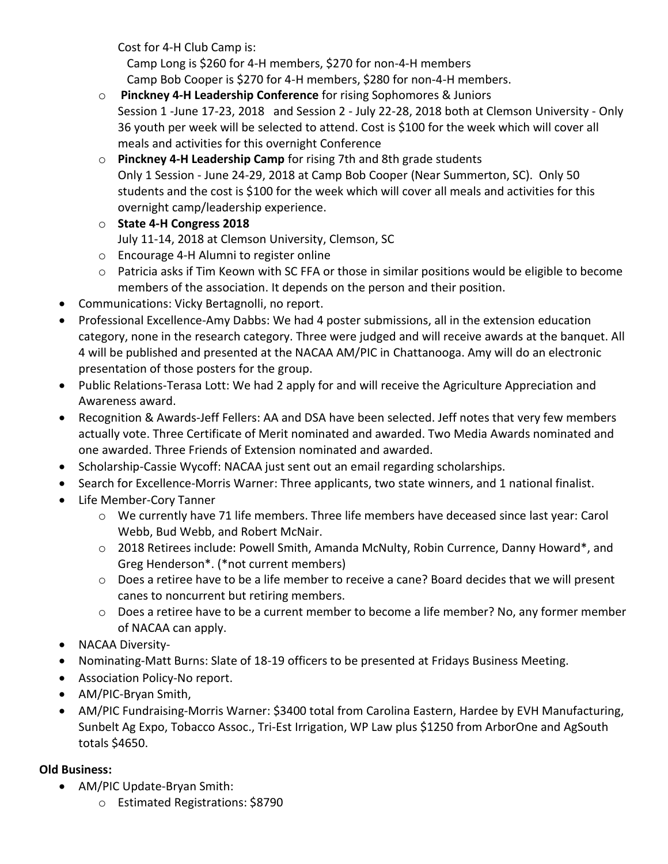Cost for 4-H Club Camp is:

 Camp Long is \$260 for 4-H members, \$270 for non-4-H members Camp Bob Cooper is \$270 for 4-H members, \$280 for non-4-H members.

- o **Pinckney 4-H Leadership Conference** for rising Sophomores & Juniors Session 1 -June 17-23, 2018 and Session 2 - July 22-28, 2018 both at Clemson University - Only 36 youth per week will be selected to attend. Cost is \$100 for the week which will cover all meals and activities for this overnight Conference
- o **Pinckney 4-H Leadership Camp** for rising 7th and 8th grade students Only 1 Session - June 24-29, 2018 at Camp Bob Cooper (Near Summerton, SC). Only 50 students and the cost is \$100 for the week which will cover all meals and activities for this overnight camp/leadership experience.
- o **State 4-H Congress 2018** July 11-14, 2018 at Clemson University, Clemson, SC
- o Encourage 4-H Alumni to register online
- $\circ$  Patricia asks if Tim Keown with SC FFA or those in similar positions would be eligible to become members of the association. It depends on the person and their position.
- Communications: Vicky Bertagnolli, no report.
- Professional Excellence-Amy Dabbs: We had 4 poster submissions, all in the extension education category, none in the research category. Three were judged and will receive awards at the banquet. All 4 will be published and presented at the NACAA AM/PIC in Chattanooga. Amy will do an electronic presentation of those posters for the group.
- Public Relations-Terasa Lott: We had 2 apply for and will receive the Agriculture Appreciation and Awareness award.
- Recognition & Awards-Jeff Fellers: AA and DSA have been selected. Jeff notes that very few members actually vote. Three Certificate of Merit nominated and awarded. Two Media Awards nominated and one awarded. Three Friends of Extension nominated and awarded.
- Scholarship-Cassie Wycoff: NACAA just sent out an email regarding scholarships.
- Search for Excellence-Morris Warner: Three applicants, two state winners, and 1 national finalist.
- Life Member-Cory Tanner
	- o We currently have 71 life members. Three life members have deceased since last year: Carol Webb, Bud Webb, and Robert McNair.
	- o 2018 Retirees include: Powell Smith, Amanda McNulty, Robin Currence, Danny Howard\*, and Greg Henderson\*. (\*not current members)
	- o Does a retiree have to be a life member to receive a cane? Board decides that we will present canes to noncurrent but retiring members.
	- o Does a retiree have to be a current member to become a life member? No, any former member of NACAA can apply.
- NACAA Diversity-
- Nominating-Matt Burns: Slate of 18-19 officers to be presented at Fridays Business Meeting.
- Association Policy-No report.
- AM/PIC-Bryan Smith,
- AM/PIC Fundraising-Morris Warner: \$3400 total from Carolina Eastern, Hardee by EVH Manufacturing, Sunbelt Ag Expo, Tobacco Assoc., Tri-Est Irrigation, WP Law plus \$1250 from ArborOne and AgSouth totals \$4650.

# **Old Business:**

- AM/PIC Update-Bryan Smith:
	- o Estimated Registrations: \$8790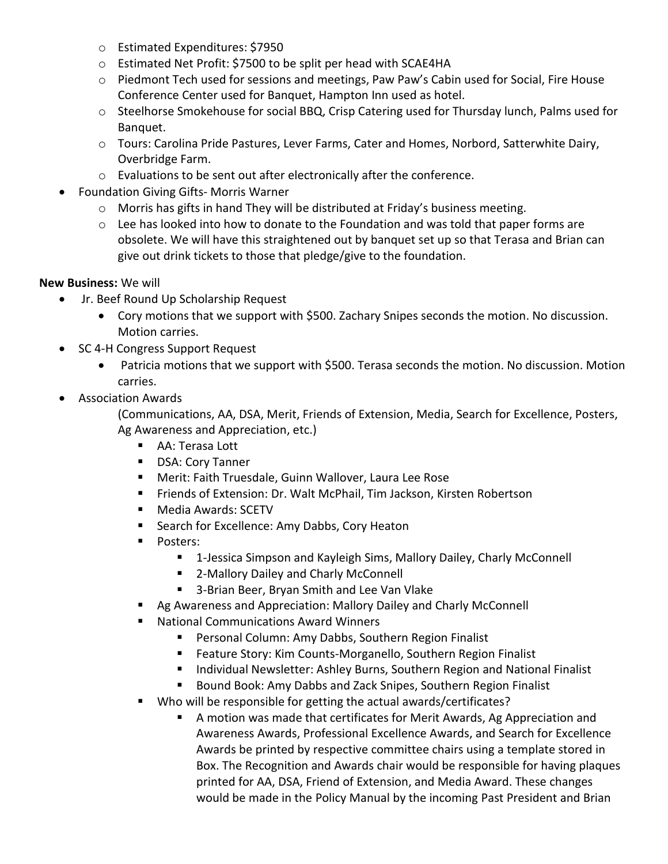- o Estimated Expenditures: \$7950
- o Estimated Net Profit: \$7500 to be split per head with SCAE4HA
- o Piedmont Tech used for sessions and meetings, Paw Paw's Cabin used for Social, Fire House Conference Center used for Banquet, Hampton Inn used as hotel.
- o Steelhorse Smokehouse for social BBQ, Crisp Catering used for Thursday lunch, Palms used for Banquet.
- o Tours: Carolina Pride Pastures, Lever Farms, Cater and Homes, Norbord, Satterwhite Dairy, Overbridge Farm.
- o Evaluations to be sent out after electronically after the conference.
- Foundation Giving Gifts- Morris Warner
	- $\circ$  Morris has gifts in hand They will be distributed at Friday's business meeting.
	- $\circ$  Lee has looked into how to donate to the Foundation and was told that paper forms are obsolete. We will have this straightened out by banquet set up so that Terasa and Brian can give out drink tickets to those that pledge/give to the foundation.

# **New Business:** We will

- Jr. Beef Round Up Scholarship Request
	- Cory motions that we support with \$500. Zachary Snipes seconds the motion. No discussion. Motion carries.
- SC 4-H Congress Support Request
	- Patricia motions that we support with \$500. Terasa seconds the motion. No discussion. Motion carries.
- Association Awards

(Communications, AA, DSA, Merit, Friends of Extension, Media, Search for Excellence, Posters, Ag Awareness and Appreciation, etc.)

- AA: Terasa Lott
- DSA: Cory Tanner
- Merit: Faith Truesdale, Guinn Wallover, Laura Lee Rose
- Friends of Extension: Dr. Walt McPhail, Tim Jackson, Kirsten Robertson
- Media Awards: SCETV
- Search for Excellence: Amy Dabbs, Cory Heaton
- Posters:
	- 1-Jessica Simpson and Kayleigh Sims, Mallory Dailey, Charly McConnell
	- 2-Mallory Dailey and Charly McConnell
	- 3-Brian Beer, Bryan Smith and Lee Van Vlake
- Ag Awareness and Appreciation: Mallory Dailey and Charly McConnell
- National Communications Award Winners
	- Personal Column: Amy Dabbs, Southern Region Finalist
	- Feature Story: Kim Counts-Morganello, Southern Region Finalist
	- Individual Newsletter: Ashley Burns, Southern Region and National Finalist
	- Bound Book: Amy Dabbs and Zack Snipes, Southern Region Finalist
- Who will be responsible for getting the actual awards/certificates?
	- A motion was made that certificates for Merit Awards, Ag Appreciation and Awareness Awards, Professional Excellence Awards, and Search for Excellence Awards be printed by respective committee chairs using a template stored in Box. The Recognition and Awards chair would be responsible for having plaques printed for AA, DSA, Friend of Extension, and Media Award. These changes would be made in the Policy Manual by the incoming Past President and Brian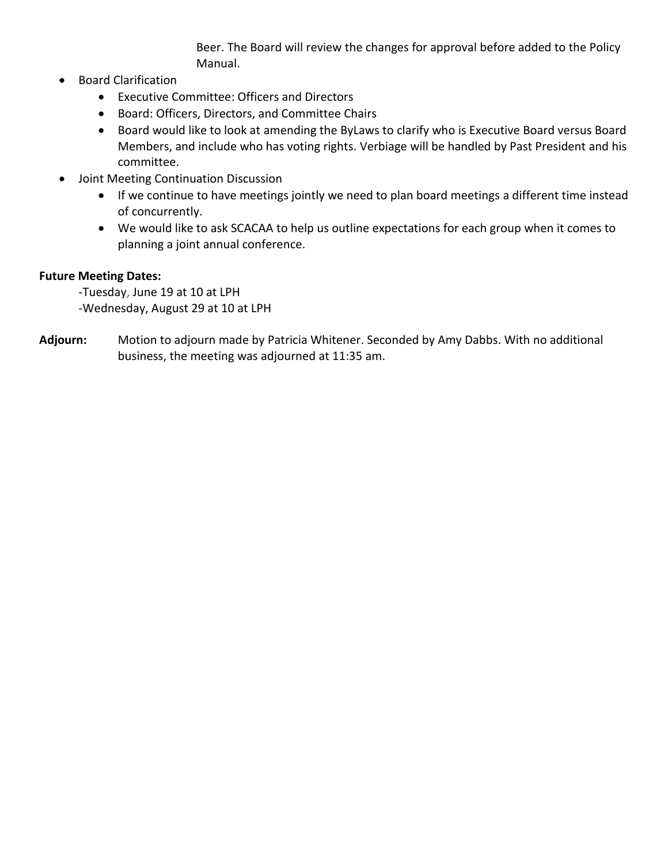Beer. The Board will review the changes for approval before added to the Policy Manual.

- Board Clarification
	- Executive Committee: Officers and Directors
	- Board: Officers, Directors, and Committee Chairs
	- Board would like to look at amending the ByLaws to clarify who is Executive Board versus Board Members, and include who has voting rights. Verbiage will be handled by Past President and his committee.
- Joint Meeting Continuation Discussion
	- If we continue to have meetings jointly we need to plan board meetings a different time instead of concurrently.
	- We would like to ask SCACAA to help us outline expectations for each group when it comes to planning a joint annual conference.

# **Future Meeting Dates:**

-Tuesday, June 19 at 10 at LPH -Wednesday, August 29 at 10 at LPH

**Adjourn:** Motion to adjourn made by Patricia Whitener. Seconded by Amy Dabbs. With no additional business, the meeting was adjourned at 11:35 am.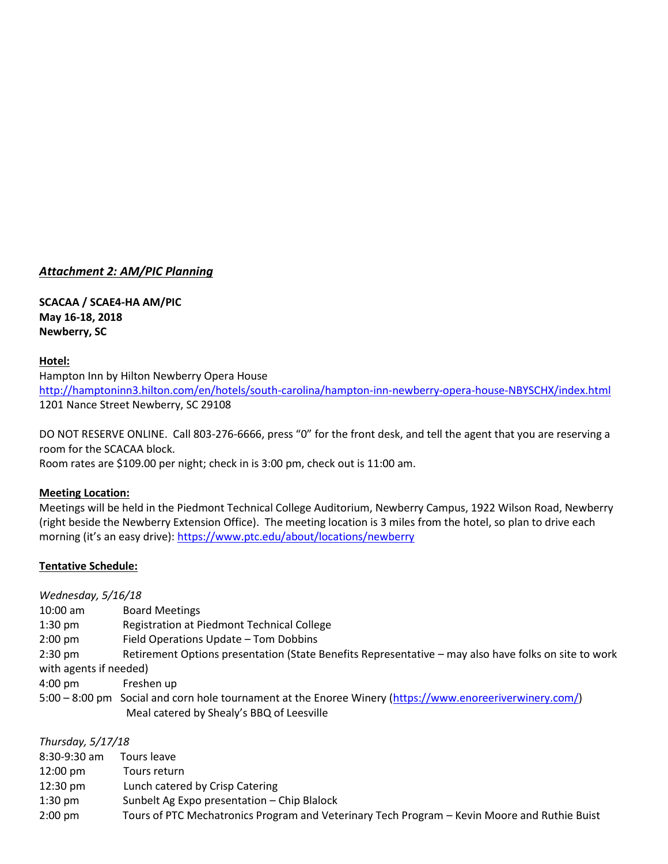### *Attachment 2: AM/PIC Planning*

**SCACAA / SCAE4-HA AM/PIC May 16-18, 2018 Newberry, SC**

### **Hotel:**

Hampton Inn by Hilton Newberry Opera House <http://hamptoninn3.hilton.com/en/hotels/south-carolina/hampton-inn-newberry-opera-house-NBYSCHX/index.html> 1201 Nance Street Newberry, SC 29108

DO NOT RESERVE ONLINE. Call 803-276-6666, press "0" for the front desk, and tell the agent that you are reserving a room for the SCACAA block.

Room rates are \$109.00 per night; check in is 3:00 pm, check out is 11:00 am.

### **Meeting Location:**

Meetings will be held in the Piedmont Technical College Auditorium, Newberry Campus, 1922 Wilson Road, Newberry (right beside the Newberry Extension Office). The meeting location is 3 miles from the hotel, so plan to drive each morning (it's an easy drive): <https://www.ptc.edu/about/locations/newberry>

### **Tentative Schedule:**

| Wednesday, 5/16/18 |                                                                                                                                                       |  |  |  |  |  |  |  |
|--------------------|-------------------------------------------------------------------------------------------------------------------------------------------------------|--|--|--|--|--|--|--|
| $10:00$ am         | <b>Board Meetings</b>                                                                                                                                 |  |  |  |  |  |  |  |
| $1:30$ pm          | Registration at Piedmont Technical College                                                                                                            |  |  |  |  |  |  |  |
| $2:00 \text{ pm}$  | Field Operations Update - Tom Dobbins                                                                                                                 |  |  |  |  |  |  |  |
| $2:30$ pm          | Retirement Options presentation (State Benefits Representative – may also have folks on site to work                                                  |  |  |  |  |  |  |  |
|                    | with agents if needed)                                                                                                                                |  |  |  |  |  |  |  |
| $4:00 \text{ pm}$  | Freshen up                                                                                                                                            |  |  |  |  |  |  |  |
|                    | 5:00 - 8:00 pm Social and corn hole tournament at the Enoree Winery (https://www.enoreeriverwinery.com/)<br>Meal catered by Shealy's BBQ of Leesville |  |  |  |  |  |  |  |

| Thursday, 5/17/18  |                                                                                              |
|--------------------|----------------------------------------------------------------------------------------------|
| $8:30-9:30$ am     | Tours leave                                                                                  |
| $12:00 \text{ pm}$ | Tours return                                                                                 |
| $12:30 \text{ pm}$ | Lunch catered by Crisp Catering                                                              |
| $1:30$ pm          | Sunbelt Ag Expo presentation - Chip Blalock                                                  |
| $2:00 \text{ pm}$  | Tours of PTC Mechatronics Program and Veterinary Tech Program - Kevin Moore and Ruthie Buist |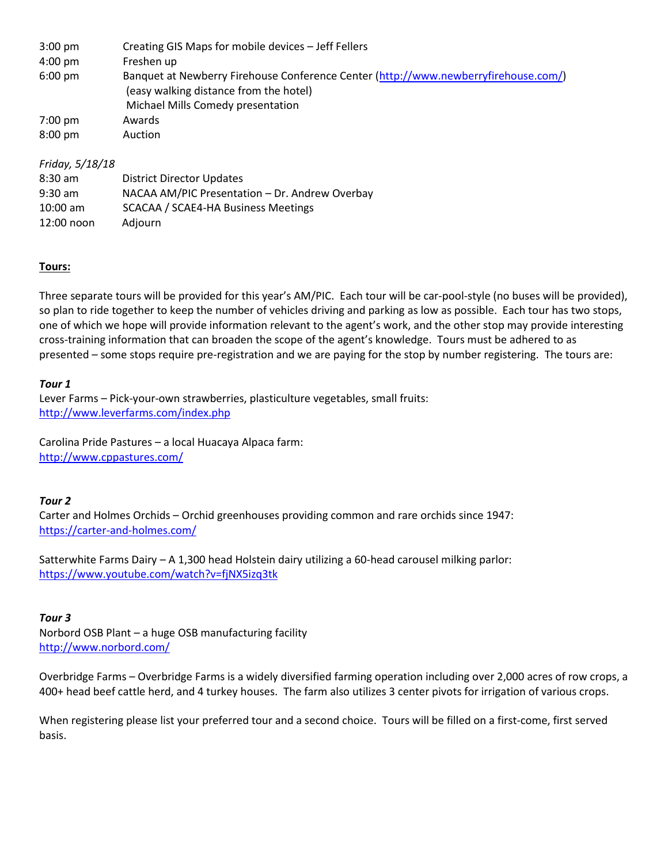| $3:00 \text{ pm}$ | Creating GIS Maps for mobile devices - Jeff Fellers                                                                                                                |
|-------------------|--------------------------------------------------------------------------------------------------------------------------------------------------------------------|
| 4:00 pm           | Freshen up                                                                                                                                                         |
| $6:00 \text{ pm}$ | Banquet at Newberry Firehouse Conference Center (http://www.newberryfirehouse.com/)<br>(easy walking distance from the hotel)<br>Michael Mills Comedy presentation |
| $7:00$ pm         | Awards                                                                                                                                                             |
| $8:00$ pm         | Auction                                                                                                                                                            |

#### *Friday, 5/18/18*

| $8:30$ am    | <b>District Director Updates</b>               |
|--------------|------------------------------------------------|
| $9:30$ am    | NACAA AM/PIC Presentation - Dr. Andrew Overbay |
| $10:00$ am   | SCACAA / SCAE4-HA Business Meetings            |
| $12:00$ noon | Adjourn                                        |

### **Tours:**

Three separate tours will be provided for this year's AM/PIC. Each tour will be car-pool-style (no buses will be provided), so plan to ride together to keep the number of vehicles driving and parking as low as possible. Each tour has two stops, one of which we hope will provide information relevant to the agent's work, and the other stop may provide interesting cross-training information that can broaden the scope of the agent's knowledge. Tours must be adhered to as presented – some stops require pre-registration and we are paying for the stop by number registering. The tours are:

#### *Tour 1*

Lever Farms – Pick-your-own strawberries, plasticulture vegetables, small fruits: <http://www.leverfarms.com/index.php>

Carolina Pride Pastures – a local Huacaya Alpaca farm: <http://www.cppastures.com/>

### *Tour 2*

Carter and Holmes Orchids – Orchid greenhouses providing common and rare orchids since 1947: <https://carter-and-holmes.com/>

Satterwhite Farms Dairy – A 1,300 head Holstein dairy utilizing a 60-head carousel milking parlor: <https://www.youtube.com/watch?v=fjNX5izq3tk>

#### *Tour 3*

Norbord OSB Plant – a huge OSB manufacturing facility <http://www.norbord.com/>

Overbridge Farms – Overbridge Farms is a widely diversified farming operation including over 2,000 acres of row crops, a 400+ head beef cattle herd, and 4 turkey houses. The farm also utilizes 3 center pivots for irrigation of various crops.

When registering please list your preferred tour and a second choice. Tours will be filled on a first-come, first served basis.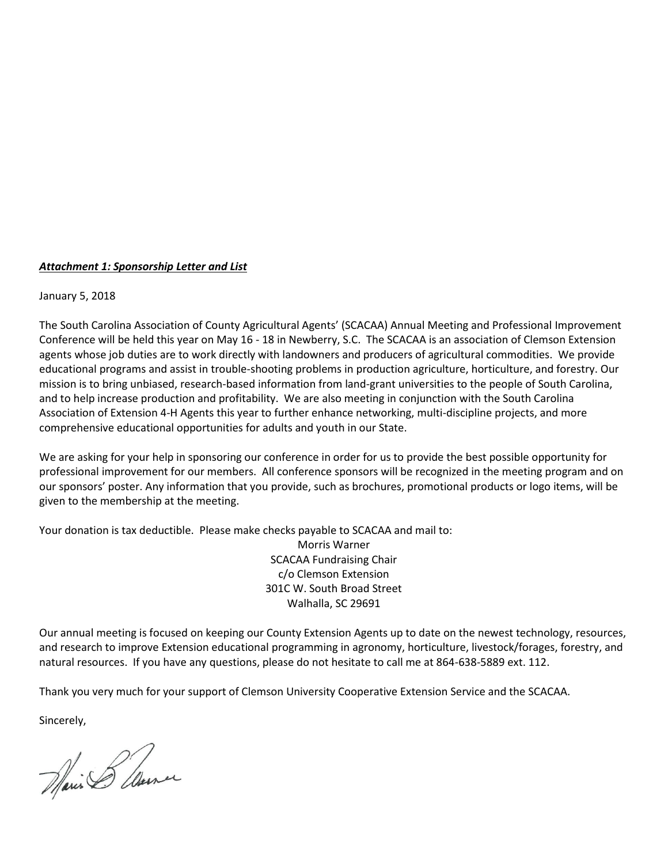#### *Attachment 1: Sponsorship Letter and List*

January 5, 2018

The South Carolina Association of County Agricultural Agents' (SCACAA) Annual Meeting and Professional Improvement Conference will be held this year on May 16 - 18 in Newberry, S.C. The SCACAA is an association of Clemson Extension agents whose job duties are to work directly with landowners and producers of agricultural commodities. We provide educational programs and assist in trouble-shooting problems in production agriculture, horticulture, and forestry. Our mission is to bring unbiased, research-based information from land-grant universities to the people of South Carolina, and to help increase production and profitability. We are also meeting in conjunction with the South Carolina Association of Extension 4-H Agents this year to further enhance networking, multi-discipline projects, and more comprehensive educational opportunities for adults and youth in our State.

We are asking for your help in sponsoring our conference in order for us to provide the best possible opportunity for professional improvement for our members. All conference sponsors will be recognized in the meeting program and on our sponsors' poster. Any information that you provide, such as brochures, promotional products or logo items, will be given to the membership at the meeting.

Your donation is tax deductible. Please make checks payable to SCACAA and mail to:

Morris Warner SCACAA Fundraising Chair c/o Clemson Extension 301C W. South Broad Street Walhalla, SC 29691

Our annual meeting is focused on keeping our County Extension Agents up to date on the newest technology, resources, and research to improve Extension educational programming in agronomy, horticulture, livestock/forages, forestry, and natural resources. If you have any questions, please do not hesitate to call me at 864-638-5889 ext. 112.

Thank you very much for your support of Clemson University Cooperative Extension Service and the SCACAA.

Sincerely,

Marin & Cleaner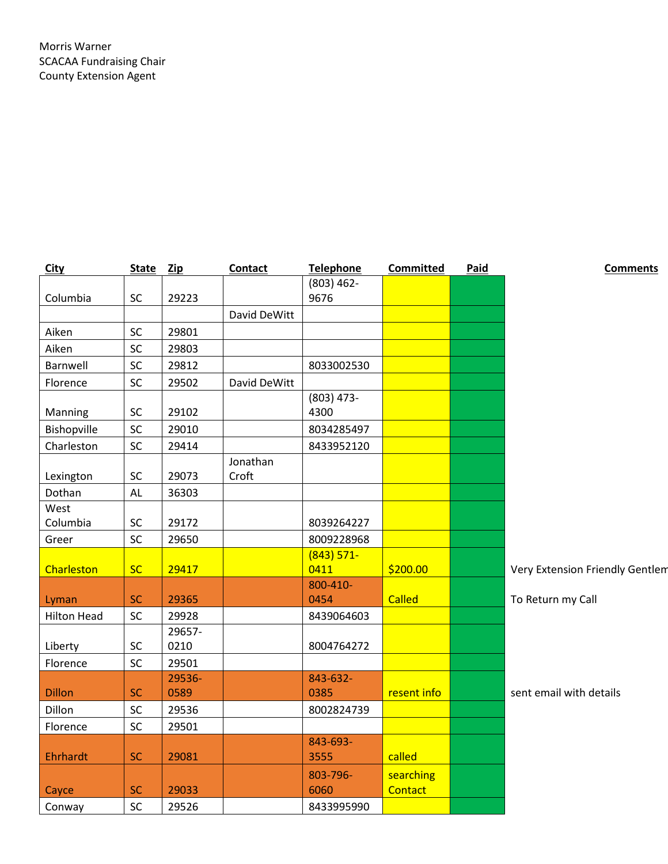| <b>City</b>        | <b>State</b> | Zip    | Contact           | Telephone            | Committed            | Paid | <b>Comments</b>                 |
|--------------------|--------------|--------|-------------------|----------------------|----------------------|------|---------------------------------|
|                    |              |        |                   | $(803) 462 -$        |                      |      |                                 |
| Columbia           | SC           | 29223  |                   | 9676                 |                      |      |                                 |
|                    |              |        | David DeWitt      |                      |                      |      |                                 |
| Aiken              | SC           | 29801  |                   |                      |                      |      |                                 |
| Aiken              | SC           | 29803  |                   |                      |                      |      |                                 |
| Barnwell           | SC           | 29812  |                   | 8033002530           |                      |      |                                 |
| Florence           | SC           | 29502  | David DeWitt      |                      |                      |      |                                 |
| Manning            | SC           | 29102  |                   | $(803)$ 473-<br>4300 |                      |      |                                 |
| Bishopville        | SC           | 29010  |                   | 8034285497           |                      |      |                                 |
| Charleston         | SC           | 29414  |                   | 8433952120           |                      |      |                                 |
| Lexington          | SC           | 29073  | Jonathan<br>Croft |                      |                      |      |                                 |
| Dothan             | <b>AL</b>    | 36303  |                   |                      |                      |      |                                 |
| West               |              |        |                   |                      |                      |      |                                 |
| Columbia           | <b>SC</b>    | 29172  |                   | 8039264227           |                      |      |                                 |
| Greer              | SC           | 29650  |                   | 8009228968           |                      |      |                                 |
|                    |              |        |                   | $(843) 571 -$        |                      |      |                                 |
| Charleston         | <b>SC</b>    | 29417  |                   | 0411                 | \$200.00             |      | Very Extension Friendly Gentlem |
|                    |              |        |                   | 800-410-             |                      |      |                                 |
| Lyman              | <b>SC</b>    | 29365  |                   | 0454                 | <b>Called</b>        |      | To Return my Call               |
| <b>Hilton Head</b> | SC           | 29928  |                   | 8439064603           |                      |      |                                 |
|                    |              | 29657- |                   |                      |                      |      |                                 |
| Liberty            | SC           | 0210   |                   | 8004764272           |                      |      |                                 |
| Florence           | SC           | 29501  |                   |                      |                      |      |                                 |
|                    |              | 29536- |                   | 843-632-             |                      |      |                                 |
| <b>Dillon</b>      | <b>SC</b>    | 0589   |                   | 0385                 | resent info          |      | sent email with details         |
| Dillon             | SC           | 29536  |                   | 8002824739           |                      |      |                                 |
| Florence           | SC           | 29501  |                   |                      |                      |      |                                 |
| <b>Ehrhardt</b>    | <b>SC</b>    | 29081  |                   | 843-693-<br>3555     | called               |      |                                 |
| Cayce              | <b>SC</b>    | 29033  |                   | 803-796-<br>6060     | searching<br>Contact |      |                                 |
| Conway             | SC           | 29526  |                   | 8433995990           |                      |      |                                 |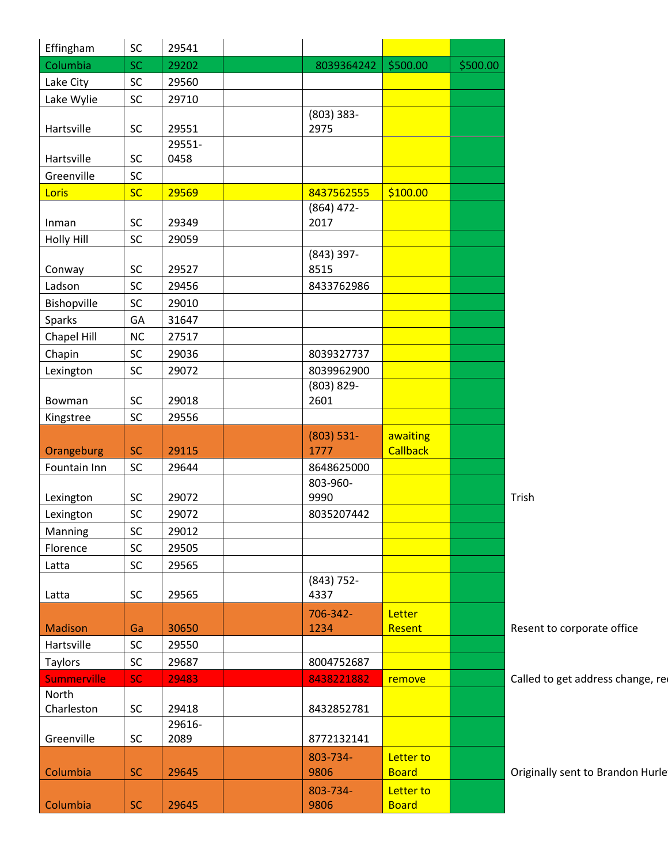| Effingham      | SC         | 29541          |                  |                 |          |
|----------------|------------|----------------|------------------|-----------------|----------|
| Columbia       | <b>SC</b>  | 29202          | 8039364242       | \$500.00        | \$500.00 |
| Lake City      | SC         | 29560          |                  |                 |          |
| Lake Wylie     | <b>SC</b>  | 29710          |                  |                 |          |
|                |            |                | $(803)$ 383-     |                 |          |
| Hartsville     | ${\sf SC}$ | 29551          | 2975             |                 |          |
| Hartsville     | <b>SC</b>  | 29551-<br>0458 |                  |                 |          |
| Greenville     | SC         |                |                  |                 |          |
| <b>Loris</b>   | <b>SC</b>  | 29569          | 8437562555       | \$100.00        |          |
|                |            |                | $(864)$ 472-     |                 |          |
| Inman          | <b>SC</b>  | 29349          | 2017             |                 |          |
| Holly Hill     | SC         | 29059          |                  |                 |          |
|                |            |                | $(843)$ 397-     |                 |          |
| Conway         | <b>SC</b>  | 29527          | 8515             |                 |          |
| Ladson         | SC         | 29456          | 8433762986       |                 |          |
| Bishopville    | <b>SC</b>  | 29010          |                  |                 |          |
| Sparks         | GA         | 31647          |                  |                 |          |
| Chapel Hill    | NC         | 27517          |                  |                 |          |
| Chapin         | <b>SC</b>  | 29036          | 8039327737       |                 |          |
| Lexington      | SC         | 29072          | 8039962900       |                 |          |
|                |            |                | $(803) 829 -$    |                 |          |
| Bowman         | SC         | 29018          | 2601             |                 |          |
| Kingstree      | SC         | 29556          |                  |                 |          |
|                |            |                | $(803) 531 -$    | awaiting        |          |
| Orangeburg     | <b>SC</b>  | 29115          | 1777             | <b>Callback</b> |          |
| Fountain Inn   | SC         | 29644          | 8648625000       |                 |          |
| Lexington      | <b>SC</b>  | 29072          | 803-960-<br>9990 |                 |          |
| Lexington      | SC         | 29072          | 8035207442       |                 |          |
| Manning        | <b>SC</b>  | 29012          |                  |                 |          |
| Florence       | SC         | 29505          |                  |                 |          |
| Latta          | SC         | 29565          |                  |                 |          |
|                |            |                | $(843) 752 -$    |                 |          |
| Latta          | SC         | 29565          | 4337             |                 |          |
|                |            |                | 706-342-         | Letter          |          |
| <b>Madison</b> | Ga         | 30650          | 1234             | Resent          |          |
| Hartsville     | SC         | 29550          |                  |                 |          |
| Taylors        | <b>SC</b>  | 29687          | 8004752687       |                 |          |
| Summerville    | <b>SC</b>  | 29483          | 8438221882       | remove          |          |
| North          |            |                |                  |                 |          |
| Charleston     | SC         | 29418          | 8432852781       |                 |          |
|                |            | 29616-         |                  |                 |          |
| Greenville     | SC         | 2089           | 8772132141       |                 |          |
|                |            |                | 803-734-         | Letter to       |          |
| Columbia       | <b>SC</b>  | 29645          | 9806             | <b>Board</b>    |          |
|                |            |                | 803-734-         | Letter to       |          |
| Columbia       | <b>SC</b>  | 29645          | 9806             | <b>Board</b>    |          |